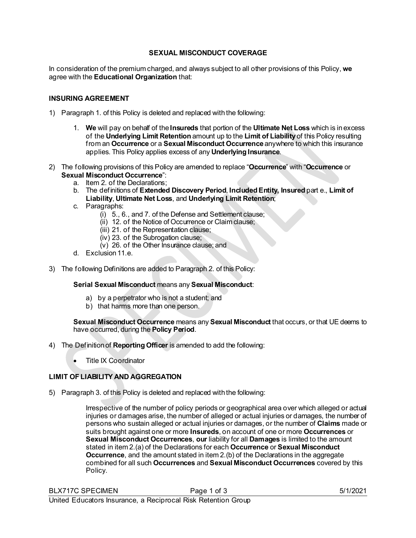## **SEXUAL MISCONDUCT COVERAGE**

In consideration of the premium charged, and always subject to all other provisions of this Policy, **we** agree with the **Educational Organization** that:

#### **INSURING AGREEMENT**

- 1) Paragraph 1. of this Policy is deleted and replaced with the following:
	- 1. **We** will pay on behalf of the **Insureds** that portion of the **Ultimate Net Loss** which is inexcess of the **Underlying Limit Retention** amount up to the **Limit of Liability** of this Policy resulting from an **Occurrence** or a **Sexual Misconduct Occurrence** anywhere to which this insurance applies. This Policy applies excess of any **Underlying Insurance**.
- 2) The following provisions of this Policy are amended to replace "**Occurrence**" with "**Occurrence** or **Sexual Misconduct Occurrence**":
	- a. Item 2. of the Declarations;
	- b. The definitions of **Extended Discovery Period**, **Included Entity, Insured** part e., **Limit of Liability**, **Ultimate Net Loss**, and **Underlying Limit Retention**;
	- c. Paragraphs:
		- (i) 5., 6., and 7. of the Defense and Settlement clause;
		- (ii) 12. of the Notice of Occurrence or Claim clause;
		- (iii) 21. of the Representation clause;
		- (iv) 23. of the Subrogation clause;
		- (v) 26. of the Other Insurance clause; and
	- d. Exclusion 11.e.
- 3) The following Definitions are added to Paragraph 2. of this Policy:

#### **Serial Sexual Misconduct** means any **Sexual Misconduct**:

- a) by a perpetrator who is not a student; and
- b) that harms more than one person.

#### **Sexual Misconduct Occurrence** means any **Sexual Misconduct** that occurs, or that UE deems to have occurred, during the **Policy Period**.

- 4) The Definition of **Reporting Officer** is amended to add the following:
	- Title IX Coordinator

## **LIMIT OF LIABILITY AND AGGREGATION**

5) Paragraph 3. of this Policy is deleted and replaced with the following:

Irrespective of the number of policy periods or geographical area over which alleged or actual injuries or damages arise, the number of alleged or actual injuries or damages, the number of persons who sustain alleged or actual injuries or damages, or the number of **Claims** made or suits brought against one or more **Insureds**, on account of one or more **Occurrences** or **Sexual Misconduct Occurrences**, **our** liability for all **Damages** is limited to the amount stated in item 2.(a) of the Declarations for each **Occurrence** or **Sexual Misconduct Occurrence**, and the amount stated in item 2.(b) of the Declarations in the aggregate combined for all such **Occurrences** and **Sexual Misconduct Occurrences** covered by this Policy.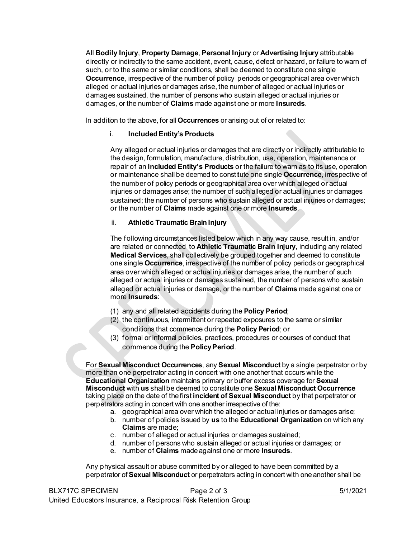All **Bodily Injury**, **Property Damage**, **Personal Injury** or **Advertising Injury** attributable directly or indirectly to the same accident, event, cause, defect or hazard, or failure to warn of such, or to the same or similar conditions, shall be deemed to constitute one single **Occurrence**, irrespective of the number of policy periods or geographical area over which alleged or actual injuries or damages arise, the number of alleged or actual injuries or damages sustained, the number of persons who sustain alleged or actual injuries or damages, or the number of **Claims** made against one or more **Insureds**.

In addition to the above, for all **Occurrences** or arising out of or related to:

# i. **Included Entity's Products**

Any alleged or actual injuries or damages that are directly or indirectly attributable to the design, formulation, manufacture, distribution, use, operation, maintenance or repair of an **Included Entity's Products** or the failure to warn as to its use, operation or maintenance shall be deemed to constitute one single **Occurrence**, irrespective of the number of policy periods or geographical area over which alleged or actual injuries or damages arise; the number of such alleged or actual injuries or damages sustained; the number of persons who sustain alleged or actual injuries or damages; or the number of **Claims** made against one or more **Insureds**.

## ii. **Athletic Traumatic Brain Injury**

The following circumstances listed below which in any way cause, result in, and/or are related or connected to **Athletic Traumatic Brain Injury**, including any related **Medical Services**, shall collectively be grouped together and deemed to constitute one single **Occurrence**, irrespective of the number of policy periods or geographical area over which alleged or actual injuries or damages arise, the number of such alleged or actual injuries or damages sustained, the number of persons who sustain alleged or actual injuries or damage, or the number of **Claims** made against one or more **Insureds**:

- (1) any and all related accidents during the **Policy Period**;
- (2) the continuous, intermittent or repeated exposures to the same or similar conditions that commence during the **Policy Period**; or
- (3) formal or informal policies, practices, procedures or courses of conduct that commence during the **Policy Period**.

For **Sexual Misconduct Occurrences**, any **Sexual Misconduct** by a single perpetrator or by more than one perpetrator acting in concert with one another that occurs while the **Educational Organization** maintains primary or buffer excess coverage for **Sexual Misconduct** with **us** shall be deemed to constitute one **Sexual Misconduct Occurrence**  taking place on the date of the first **incident of Sexual Misconduct** by that perpetrator or perpetrators acting in concert with one another irrespective of the:

- a. geographical area over which the alleged or actual injuries or damages arise;
- b. number of policies issued by **us** to the **Educational Organization** on which any **Claims** are made;
- c. number of alleged or actual injuries or damages sustained;
- d. number of persons who sustain alleged or actual injuries or damages; or
- e. number of **Claims** made against one or more **Insureds**.

Any physical assault or abuse committed by or alleged to have been committed by a perpetrator of **Sexual Misconduct** or perpetrators acting in concert with one another shall be